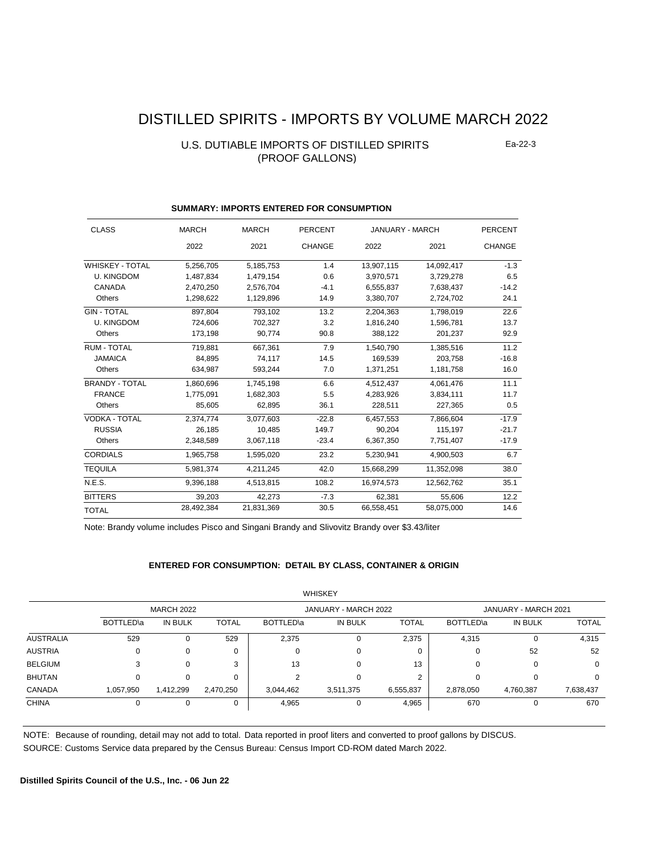# DISTILLED SPIRITS - IMPORTS BY VOLUME MARCH 2022

### U.S. DUTIABLE IMPORTS OF DISTILLED SPIRITS (PROOF GALLONS)

Ea-22-3

| <b>CLASS</b>           | <b>MARCH</b> | <b>MARCH</b> | <b>PERCENT</b> | <b>JANUARY - MARCH</b> |            | <b>PERCENT</b> |
|------------------------|--------------|--------------|----------------|------------------------|------------|----------------|
|                        | 2022         | 2021         | <b>CHANGE</b>  | 2022                   | 2021       | <b>CHANGE</b>  |
| <b>WHISKEY - TOTAL</b> | 5,256,705    | 5,185,753    | 1.4            | 13,907,115             | 14,092,417 | $-1.3$         |
| <b>U. KINGDOM</b>      | 1,487,834    | 1,479,154    | 0.6            | 3,970,571              | 3,729,278  | 6.5            |
| CANADA                 | 2,470,250    | 2,576,704    | $-4.1$         | 6,555,837              | 7,638,437  | $-14.2$        |
| Others                 | 1,298,622    | 1,129,896    | 14.9           | 3,380,707              | 2,724,702  | 24.1           |
| <b>GIN - TOTAL</b>     | 897.804      | 793.102      | 13.2           | 2,204,363              | 1,798,019  | 22.6           |
| <b>U. KINGDOM</b>      | 724,606      | 702,327      | 3.2            | 1,816,240              | 1,596,781  | 13.7           |
| Others                 | 173,198      | 90,774       | 90.8           | 388,122                | 201,237    | 92.9           |
| <b>RUM - TOTAL</b>     | 719,881      | 667.361      | 7.9            | 1,540,790              | 1,385,516  | 11.2           |
| <b>JAMAICA</b>         | 84.895       | 74,117       | 14.5           | 169.539                | 203.758    | $-16.8$        |
| Others                 | 634,987      | 593,244      | 7.0            | 1,371,251              | 1,181,758  | 16.0           |
| <b>BRANDY - TOTAL</b>  | 1,860,696    | 1,745,198    | 6.6            | 4,512,437              | 4,061,476  | 11.1           |
| <b>FRANCE</b>          | 1,775,091    | 1,682,303    | 5.5            | 4,283,926              | 3,834,111  | 11.7           |
| Others                 | 85.605       | 62.895       | 36.1           | 228,511                | 227.365    | 0.5            |
| <b>VODKA - TOTAL</b>   | 2,374,774    | 3,077,603    | $-22.8$        | 6.457.553              | 7.866.604  | $-17.9$        |
| <b>RUSSIA</b>          | 26,185       | 10,485       | 149.7          | 90,204                 | 115,197    | $-21.7$        |
| Others                 | 2,348,589    | 3,067,118    | $-23.4$        | 6,367,350              | 7,751,407  | $-17.9$        |
| <b>CORDIALS</b>        | 1,965,758    | 1.595.020    | 23.2           | 5.230.941              | 4.900.503  | 6.7            |
| <b>TEQUILA</b>         | 5.981.374    | 4.211.245    | 42.0           | 15.668.299             | 11.352.098 | 38.0           |
| N.E.S.                 | 9,396,188    | 4,513,815    | 108.2          | 16,974,573             | 12,562,762 | 35.1           |
| <b>BITTERS</b>         | 39,203       | 42,273       | $-7.3$         | 62,381                 | 55,606     | 12.2           |
| <b>TOTAL</b>           | 28,492,384   | 21,831,369   | 30.5           | 66,558,451             | 58,075,000 | 14.6           |

### **SUMMARY: IMPORTS ENTERED FOR CONSUMPTION**

Note: Brandy volume includes Pisco and Singani Brandy and Slivovitz Brandy over \$3.43/liter

#### **ENTERED FOR CONSUMPTION: DETAIL BY CLASS, CONTAINER & ORIGIN**

|                |                   |           |              |           | <b>WHISKEY</b>       |              |           |                      |              |  |
|----------------|-------------------|-----------|--------------|-----------|----------------------|--------------|-----------|----------------------|--------------|--|
|                | <b>MARCH 2022</b> |           |              |           | JANUARY - MARCH 2022 |              |           | JANUARY - MARCH 2021 |              |  |
|                | BOTTLED\a         | IN BULK   | <b>TOTAL</b> | BOTTLED\a | IN BULK              | <b>TOTAL</b> | BOTTLED\a | IN BULK              | <b>TOTAL</b> |  |
| AUSTRALIA      | 529               |           | 529          | 2,375     |                      | 2,375        | 4,315     | 0                    | 4,315        |  |
| <b>AUSTRIA</b> | 0                 |           | 0            | 0         |                      | 0            | 0         | 52                   | 52           |  |
| <b>BELGIUM</b> | 3                 |           | 3            | 13        |                      | 13           | 0         | 0                    | 0            |  |
| <b>BHUTAN</b>  | 0                 |           | $\Omega$     | ◠         |                      | 2            | 0         | $\Omega$             | 0            |  |
| CANADA         | 1,057,950         | 1,412,299 | 2,470,250    | 3,044,462 | 3,511,375            | 6,555,837    | 2,878,050 | 4,760,387            | 7,638,437    |  |
| <b>CHINA</b>   | 0                 |           | 0            | 4,965     |                      | 4,965        | 670       | 0                    | 670          |  |

 $W$ 

NOTE: Because of rounding, detail may not add to total. Data reported in proof liters and converted to proof gallons by DISCUS.

SOURCE: Customs Service data prepared by the Census Bureau: Census Import CD-ROM dated March 2022.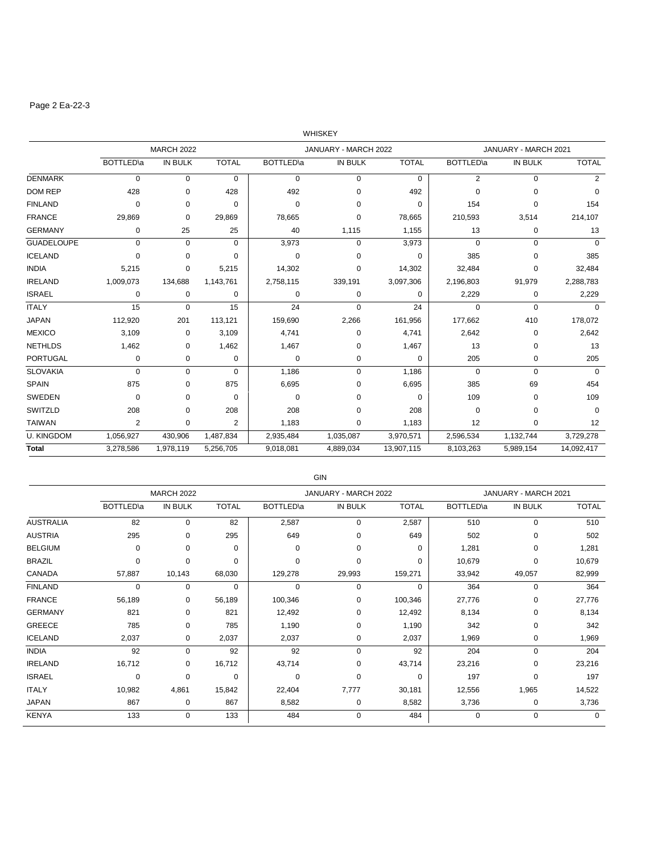# Page 2 Ea-22-3

|                   |                |                   |                |                   | WHISKEY              |              |                   |                      |              |
|-------------------|----------------|-------------------|----------------|-------------------|----------------------|--------------|-------------------|----------------------|--------------|
|                   |                | <b>MARCH 2022</b> |                |                   | JANUARY - MARCH 2022 |              |                   | JANUARY - MARCH 2021 |              |
|                   | BOTTLED\a      | <b>IN BULK</b>    | <b>TOTAL</b>   | <b>BOTTLED</b> \a | IN BULK              | <b>TOTAL</b> | <b>BOTTLED</b> \a | <b>IN BULK</b>       | <b>TOTAL</b> |
| <b>DENMARK</b>    | $\mathbf 0$    | 0                 | 0              | 0                 | 0                    | 0            | $\overline{2}$    | $\mathbf 0$          | 2            |
| <b>DOM REP</b>    | 428            | 0                 | 428            | 492               | $\mathbf 0$          | 492          | $\mathbf 0$       | $\mathbf 0$          | $\mathbf 0$  |
| <b>FINLAND</b>    | 0              | 0                 | 0              | 0                 | 0                    | 0            | 154               | 0                    | 154          |
| <b>FRANCE</b>     | 29,869         | 0                 | 29,869         | 78,665            | $\Omega$             | 78,665       | 210,593           | 3,514                | 214,107      |
| <b>GERMANY</b>    | 0              | 25                | 25             | 40                | 1,115                | 1,155        | 13                | 0                    | 13           |
| <b>GUADELOUPE</b> | $\mathbf 0$    | $\mathbf 0$       | 0              | 3,973             | 0                    | 3,973        | $\mathbf 0$       | $\mathbf 0$          | $\mathbf 0$  |
| <b>ICELAND</b>    | $\mathbf 0$    | $\Omega$          | $\Omega$       | 0                 | $\Omega$             | $\Omega$     | 385               | $\Omega$             | 385          |
| <b>INDIA</b>      | 5,215          | 0                 | 5,215          | 14,302            | 0                    | 14,302       | 32,484            | $\mathbf 0$          | 32,484       |
| <b>IRELAND</b>    | 1,009,073      | 134,688           | 1,143,761      | 2,758,115         | 339,191              | 3,097,306    | 2,196,803         | 91,979               | 2,288,783    |
| <b>ISRAEL</b>     | 0              | 0                 | 0              | 0                 | 0                    | 0            | 2,229             | $\mathbf 0$          | 2,229        |
| <b>ITALY</b>      | 15             | $\mathbf 0$       | 15             | 24                | $\mathbf 0$          | 24           | $\mathbf 0$       | $\mathbf 0$          | $\Omega$     |
| <b>JAPAN</b>      | 112,920        | 201               | 113,121        | 159,690           | 2,266                | 161,956      | 177,662           | 410                  | 178,072      |
| <b>MEXICO</b>     | 3,109          | 0                 | 3,109          | 4,741             | 0                    | 4,741        | 2,642             | 0                    | 2,642        |
| <b>NETHLDS</b>    | 1,462          | 0                 | 1,462          | 1,467             | 0                    | 1,467        | 13                | 0                    | 13           |
| <b>PORTUGAL</b>   | $\mathbf 0$    | 0                 | $\mathbf 0$    | 0                 | $\mathbf 0$          | $\Omega$     | 205               | $\mathbf 0$          | 205          |
| <b>SLOVAKIA</b>   | $\mathbf 0$    | $\mathbf 0$       | 0              | 1,186             | $\mathbf 0$          | 1,186        | $\mathbf 0$       | $\mathbf 0$          | $\Omega$     |
| <b>SPAIN</b>      | 875            | 0                 | 875            | 6,695             | $\Omega$             | 6,695        | 385               | 69                   | 454          |
| SWEDEN            | $\mathbf 0$    | 0                 | 0              | 0                 | 0                    | $\Omega$     | 109               | $\mathbf 0$          | 109          |
| SWITZLD           | 208            | 0                 | 208            | 208               | 0                    | 208          | $\mathbf 0$       | $\mathbf 0$          | 0            |
| <b>TAIWAN</b>     | $\overline{2}$ | $\mathbf 0$       | $\overline{2}$ | 1,183             | 0                    | 1,183        | 12                | $\mathbf 0$          | 12           |
| <b>U. KINGDOM</b> | 1,056,927      | 430,906           | 1,487,834      | 2,935,484         | 1,035,087            | 3,970,571    | 2,596,534         | 1,132,744            | 3,729,278    |
| <b>Total</b>      | 3,278,586      | 1,978,119         | 5,256,705      | 9,018,081         | 4,889,034            | 13,907,115   | 8,103,263         | 5,989,154            | 14,092,417   |

|                  | GIN               |                   |              |                   |                      |              |           |                      |              |  |  |  |
|------------------|-------------------|-------------------|--------------|-------------------|----------------------|--------------|-----------|----------------------|--------------|--|--|--|
|                  |                   | <b>MARCH 2022</b> |              |                   | JANUARY - MARCH 2022 |              |           | JANUARY - MARCH 2021 |              |  |  |  |
|                  | <b>BOTTLED</b> \a | <b>IN BULK</b>    | <b>TOTAL</b> | <b>BOTTLED</b> \a | <b>IN BULK</b>       | <b>TOTAL</b> | BOTTLED\a | <b>IN BULK</b>       | <b>TOTAL</b> |  |  |  |
| <b>AUSTRALIA</b> | 82                | 0                 | 82           | 2,587             | 0                    | 2,587        | 510       | $\mathbf 0$          | 510          |  |  |  |
| <b>AUSTRIA</b>   | 295               | $\Omega$          | 295          | 649               | $\Omega$             | 649          | 502       | $\Omega$             | 502          |  |  |  |
| <b>BELGIUM</b>   | $\mathbf 0$       | $\Omega$          | $\Omega$     | $\Omega$          | $\Omega$             | $\Omega$     | 1,281     | 0                    | 1,281        |  |  |  |
| <b>BRAZIL</b>    | $\mathbf 0$       | $\Omega$          | $\Omega$     | 0                 | $\Omega$             | $\Omega$     | 10,679    | $\mathbf 0$          | 10,679       |  |  |  |
| CANADA           | 57,887            | 10,143            | 68,030       | 129,278           | 29,993               | 159,271      | 33,942    | 49,057               | 82,999       |  |  |  |
| <b>FINLAND</b>   | 0                 | $\Omega$          | $\Omega$     | 0                 | $\Omega$             | 0            | 364       | 0                    | 364          |  |  |  |
| <b>FRANCE</b>    | 56,189            | 0                 | 56,189       | 100,346           | 0                    | 100,346      | 27,776    | $\mathbf 0$          | 27,776       |  |  |  |
| <b>GERMANY</b>   | 821               | 0                 | 821          | 12,492            | 0                    | 12,492       | 8,134     | $\mathbf 0$          | 8,134        |  |  |  |
| GREECE           | 785               | 0                 | 785          | 1,190             | 0                    | 1,190        | 342       | 0                    | 342          |  |  |  |
| <b>ICELAND</b>   | 2,037             | 0                 | 2,037        | 2,037             | 0                    | 2,037        | 1,969     | 0                    | 1,969        |  |  |  |
| <b>INDIA</b>     | 92                | $\Omega$          | 92           | 92                | 0                    | 92           | 204       | $\mathbf 0$          | 204          |  |  |  |
| <b>IRELAND</b>   | 16,712            | 0                 | 16,712       | 43,714            | 0                    | 43,714       | 23,216    | 0                    | 23,216       |  |  |  |
| <b>ISRAEL</b>    | $\mathbf 0$       | $\Omega$          | $\Omega$     | $\Omega$          | $\Omega$             | $\Omega$     | 197       | $\mathbf 0$          | 197          |  |  |  |
| <b>ITALY</b>     | 10,982            | 4,861             | 15,842       | 22,404            | 7,777                | 30,181       | 12,556    | 1,965                | 14,522       |  |  |  |
| <b>JAPAN</b>     | 867               | 0                 | 867          | 8,582             | $\mathbf 0$          | 8,582        | 3,736     | 0                    | 3,736        |  |  |  |
| <b>KENYA</b>     | 133               | 0                 | 133          | 484               | $\Omega$             | 484          | 0         | $\mathbf 0$          | $\Omega$     |  |  |  |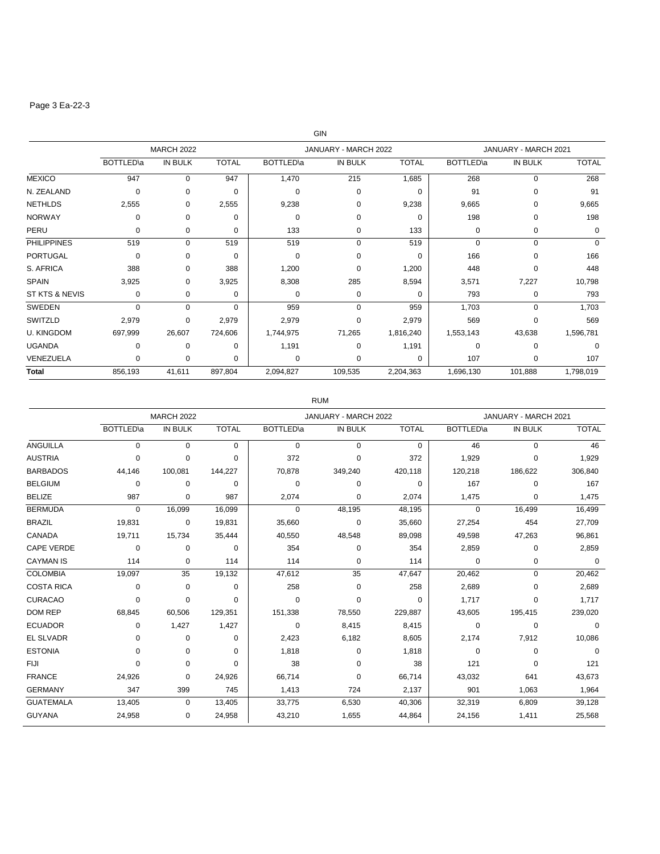# Page 3 Ea-22-3

|                    |                   | <b>MARCH 2022</b> |              |                   | JANUARY - MARCH 2022 |              |                   | JANUARY - MARCH 2021 |              |
|--------------------|-------------------|-------------------|--------------|-------------------|----------------------|--------------|-------------------|----------------------|--------------|
|                    | <b>BOTTLED</b> \a | <b>IN BULK</b>    | <b>TOTAL</b> | <b>BOTTLED</b> \a | <b>IN BULK</b>       | <b>TOTAL</b> | <b>BOTTLED</b> \a | IN BULK              | <b>TOTAL</b> |
| <b>MEXICO</b>      | 947               | $\Omega$          | 947          | 1,470             | 215                  | 1,685        | 268               | $\mathbf 0$          | 268          |
| N. ZEALAND         | 0                 | $\Omega$          | $\Omega$     | $\Omega$          | 0                    | $\Omega$     | 91                | $\Omega$             | 91           |
| <b>NETHLDS</b>     | 2,555             | $\Omega$          | 2,555        | 9,238             | 0                    | 9,238        | 9,665             | 0                    | 9,665        |
| <b>NORWAY</b>      | 0                 | $\Omega$          | 0            | $\Omega$          | <sup>0</sup>         | $\Omega$     | 198               | $\Omega$             | 198          |
| PERU               | 0                 | 0                 | $\Omega$     | 133               | $\Omega$             | 133          | 0                 | 0                    | $\Omega$     |
| <b>PHILIPPINES</b> | 519               | 0                 | 519          | 519               | $\Omega$             | 519          | $\mathbf 0$       | $\Omega$             | $\Omega$     |
| <b>PORTUGAL</b>    | 0                 | $\Omega$          | $\Omega$     | 0                 | 0                    | $\Omega$     | 166               | $\Omega$             | 166          |
| S. AFRICA          | 388               | 0                 | 388          | 1,200             | 0                    | 1,200        | 448               | 0                    | 448          |
| <b>SPAIN</b>       | 3,925             | $\Omega$          | 3,925        | 8,308             | 285                  | 8,594        | 3,571             | 7,227                | 10,798       |
| ST KTS & NEVIS     | 0                 | 0                 | 0            | 0                 | 0                    | $\Omega$     | 793               | $\mathbf 0$          | 793          |
| <b>SWEDEN</b>      | 0                 | $\Omega$          | $\Omega$     | 959               | $\Omega$             | 959          | 1,703             | 0                    | 1,703        |
| SWITZLD            | 2,979             | $\Omega$          | 2,979        | 2,979             | $\Omega$             | 2,979        | 569               | $\Omega$             | 569          |
| <b>U. KINGDOM</b>  | 697,999           | 26,607            | 724,606      | 1,744,975         | 71,265               | 1,816,240    | 1,553,143         | 43,638               | 1,596,781    |
| <b>UGANDA</b>      | 0                 | $\Omega$          | $\Omega$     | 1,191             | 0                    | 1,191        | 0                 | $\Omega$             | $\Omega$     |
| VENEZUELA          | 0                 | $\Omega$          | $\Omega$     | 0                 | $\Omega$             | $\Omega$     | 107               | 0                    | 107          |
| <b>Total</b>       | 856,193           | 41,611            | 897,804      | 2,094,827         | 109,535              | 2,204,363    | 1,696,130         | 101,888              | 1,798,019    |

### RUM

|                   |                   | <b>MARCH 2022</b> |              |                   | JANUARY - MARCH 2022 |              | JANUARY - MARCH 2021 |             |              |
|-------------------|-------------------|-------------------|--------------|-------------------|----------------------|--------------|----------------------|-------------|--------------|
|                   | <b>BOTTLED</b> \a | IN BULK           | <b>TOTAL</b> | <b>BOTTLED</b> \a | <b>IN BULK</b>       | <b>TOTAL</b> | <b>BOTTLED</b> \a    | IN BULK     | <b>TOTAL</b> |
| <b>ANGUILLA</b>   | $\Omega$          | $\Omega$          | 0            | $\Omega$          | $\Omega$             | $\Omega$     | 46                   | $\Omega$    | 46           |
| <b>AUSTRIA</b>    | $\mathbf 0$       | 0                 | $\Omega$     | 372               | $\Omega$             | 372          | 1,929                | 0           | 1,929        |
| <b>BARBADOS</b>   | 44,146            | 100,081           | 144,227      | 70,878            | 349,240              | 420,118      | 120,218              | 186,622     | 306,840      |
| <b>BELGIUM</b>    | 0                 | $\Omega$          | $\Omega$     | $\Omega$          | 0                    | 0            | 167                  | 0           | 167          |
| <b>BELIZE</b>     | 987               | $\Omega$          | 987          | 2,074             | $\Omega$             | 2,074        | 1,475                | 0           | 1,475        |
| <b>BERMUDA</b>    | 0                 | 16,099            | 16,099       | 0                 | 48,195               | 48,195       | 0                    | 16,499      | 16,499       |
| <b>BRAZIL</b>     | 19,831            | 0                 | 19,831       | 35,660            | $\Omega$             | 35,660       | 27,254               | 454         | 27,709       |
| CANADA            | 19,711            | 15,734            | 35,444       | 40,550            | 48,548               | 89,098       | 49,598               | 47,263      | 96,861       |
| <b>CAPE VERDE</b> | 0                 | 0                 | $\Omega$     | 354               | 0                    | 354          | 2,859                | 0           | 2,859        |
| <b>CAYMAN IS</b>  | 114               | 0                 | 114          | 114               | 0                    | 114          | 0                    | 0           | 0            |
| <b>COLOMBIA</b>   | 19,097            | 35                | 19,132       | 47,612            | 35                   | 47,647       | 20,462               | 0           | 20,462       |
| <b>COSTA RICA</b> | 0                 | 0                 | $\Omega$     | 258               | 0                    | 258          | 2,689                | 0           | 2,689        |
| <b>CURACAO</b>    | 0                 | 0                 | $\Omega$     | $\Omega$          | $\Omega$             | $\Omega$     | 1,717                | 0           | 1,717        |
| <b>DOM REP</b>    | 68,845            | 60,506            | 129,351      | 151,338           | 78,550               | 229,887      | 43,605               | 195,415     | 239,020      |
| <b>ECUADOR</b>    | 0                 | 1,427             | 1,427        | 0                 | 8,415                | 8,415        | $\mathbf 0$          | $\mathbf 0$ | $\Omega$     |
| <b>EL SLVADR</b>  | $\mathbf 0$       | 0                 | $\Omega$     | 2,423             | 6,182                | 8,605        | 2,174                | 7,912       | 10,086       |
| <b>ESTONIA</b>    | 0                 | 0                 | $\Omega$     | 1,818             | 0                    | 1,818        | 0                    | 0           | $\Omega$     |
| <b>FIJI</b>       | $\Omega$          | $\Omega$          | $\Omega$     | 38                | $\Omega$             | 38           | 121                  | 0           | 121          |
| <b>FRANCE</b>     | 24,926            | 0                 | 24,926       | 66,714            | $\Omega$             | 66,714       | 43,032               | 641         | 43,673       |
| <b>GERMANY</b>    | 347               | 399               | 745          | 1,413             | 724                  | 2,137        | 901                  | 1,063       | 1,964        |
| <b>GUATEMALA</b>  | 13,405            | 0                 | 13,405       | 33,775            | 6,530                | 40,306       | 32,319               | 6,809       | 39,128       |
| <b>GUYANA</b>     | 24,958            | 0                 | 24,958       | 43,210            | 1,655                | 44,864       | 24,156               | 1,411       | 25,568       |

#### GIN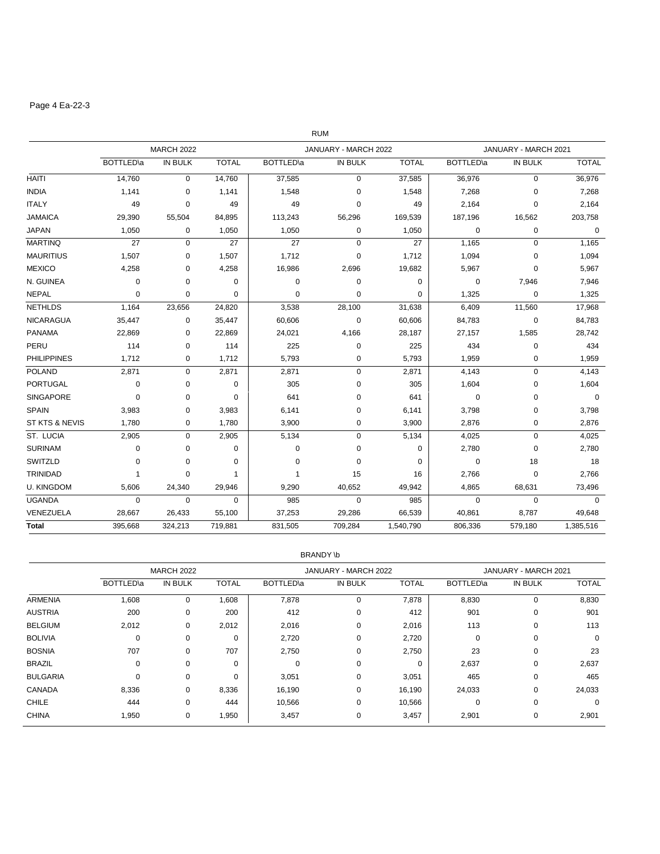### Page 4 Ea-22-3

|                           |                   |                   |              |                   | <b>RUM</b>           |              |                   |                      |              |
|---------------------------|-------------------|-------------------|--------------|-------------------|----------------------|--------------|-------------------|----------------------|--------------|
|                           |                   | <b>MARCH 2022</b> |              |                   | JANUARY - MARCH 2022 |              |                   | JANUARY - MARCH 2021 |              |
|                           | <b>BOTTLED</b> \a | IN BULK           | <b>TOTAL</b> | <b>BOTTLED</b> \a | IN BULK              | <b>TOTAL</b> | <b>BOTTLED</b> \a | IN BULK              | <b>TOTAL</b> |
| <b>HAITI</b>              | 14,760            | $\mathbf 0$       | 14,760       | 37,585            | $\mathbf 0$          | 37,585       | 36,976            | $\mathbf 0$          | 36,976       |
| <b>INDIA</b>              | 1,141             | 0                 | 1,141        | 1,548             | 0                    | 1,548        | 7,268             | $\mathbf 0$          | 7,268        |
| <b>ITALY</b>              | 49                | 0                 | 49           | 49                | $\mathbf 0$          | 49           | 2,164             | $\mathbf 0$          | 2,164        |
| <b>JAMAICA</b>            | 29,390            | 55,504            | 84,895       | 113,243           | 56,296               | 169,539      | 187,196           | 16,562               | 203,758      |
| <b>JAPAN</b>              | 1,050             | 0                 | 1,050        | 1,050             | 0                    | 1,050        | $\mathbf 0$       | $\mathbf 0$          | $\mathbf 0$  |
| <b>MARTINQ</b>            | 27                | $\mathbf 0$       | 27           | 27                | $\mathbf 0$          | 27           | 1,165             | $\mathbf 0$          | 1,165        |
| <b>MAURITIUS</b>          | 1,507             | 0                 | 1,507        | 1,712             | $\mathbf 0$          | 1,712        | 1,094             | $\mathbf 0$          | 1,094        |
| <b>MEXICO</b>             | 4,258             | 0                 | 4,258        | 16,986            | 2,696                | 19,682       | 5,967             | $\mathbf 0$          | 5,967        |
| N. GUINEA                 | 0                 | 0                 | $\Omega$     | 0                 | 0                    | 0            | 0                 | 7,946                | 7,946        |
| <b>NEPAL</b>              | 0                 | 0                 | 0            | 0                 | 0                    | 0            | 1,325             | $\mathbf 0$          | 1,325        |
| <b>NETHLDS</b>            | 1,164             | 23,656            | 24,820       | 3,538             | 28,100               | 31,638       | 6,409             | 11,560               | 17,968       |
| <b>NICARAGUA</b>          | 35,447            | $\mathbf 0$       | 35,447       | 60,606            | $\mathbf 0$          | 60,606       | 84,783            | $\mathbf 0$          | 84,783       |
| <b>PANAMA</b>             | 22,869            | 0                 | 22,869       | 24,021            | 4,166                | 28,187       | 27,157            | 1,585                | 28,742       |
| PERU                      | 114               | $\mathbf 0$       | 114          | 225               | $\mathbf 0$          | 225          | 434               | $\mathbf 0$          | 434          |
| <b>PHILIPPINES</b>        | 1,712             | 0                 | 1,712        | 5,793             | 0                    | 5,793        | 1,959             | $\mathbf 0$          | 1,959        |
| <b>POLAND</b>             | 2,871             | 0                 | 2,871        | 2,871             | 0                    | 2,871        | 4,143             | $\mathbf 0$          | 4,143        |
| PORTUGAL                  | 0                 | 0                 | 0            | 305               | 0                    | 305          | 1,604             | 0                    | 1,604        |
| <b>SINGAPORE</b>          | $\pmb{0}$         | 0                 | 0            | 641               | 0                    | 641          | $\mathbf 0$       | $\mathbf 0$          | $\mathbf 0$  |
| <b>SPAIN</b>              | 3,983             | 0                 | 3,983        | 6,141             | $\mathbf 0$          | 6,141        | 3,798             | $\mathbf 0$          | 3,798        |
| <b>ST KTS &amp; NEVIS</b> | 1,780             | $\mathbf 0$       | 1,780        | 3,900             | $\mathbf 0$          | 3,900        | 2,876             | $\mathbf 0$          | 2,876        |
| ST. LUCIA                 | 2,905             | 0                 | 2,905        | 5,134             | $\Omega$             | 5,134        | 4,025             | $\pmb{0}$            | 4,025        |
| <b>SURINAM</b>            | $\mathbf 0$       | $\mathbf 0$       | $\Omega$     | 0                 | $\mathbf 0$          | 0            | 2,780             | $\mathbf 0$          | 2,780        |
| SWITZLD                   | 0                 | 0                 | 0            | 0                 | $\Omega$             | 0            | $\pmb{0}$         | 18                   | 18           |
| TRINIDAD                  | $\overline{1}$    | 0                 | $\mathbf{1}$ | 1                 | 15                   | 16           | 2,766             | $\mathbf 0$          | 2,766        |
| <b>U. KINGDOM</b>         | 5,606             | 24,340            | 29,946       | 9,290             | 40,652               | 49,942       | 4,865             | 68,631               | 73,496       |
| <b>UGANDA</b>             | $\mathbf 0$       | $\mathbf 0$       | $\mathbf 0$  | 985               | $\mathbf 0$          | 985          | $\mathbf 0$       | $\mathbf 0$          | $\mathbf 0$  |
| VENEZUELA                 | 28,667            | 26,433            | 55,100       | 37,253            | 29,286               | 66,539       | 40,861            | 8,787                | 49.648       |
| <b>Total</b>              | 395,668           | 324,213           | 719,881      | 831,505           | 709,284              | 1,540,790    | 806,336           | 579,180              | 1,385,516    |

#### BRANDY \b

|                 |                   | <b>MARCH 2022</b> |              |           | JANUARY - MARCH 2022 |              | JANUARY - MARCH 2021 |         |              |
|-----------------|-------------------|-------------------|--------------|-----------|----------------------|--------------|----------------------|---------|--------------|
|                 | <b>BOTTLED</b> \a | <b>IN BULK</b>    | <b>TOTAL</b> | BOTTLED\a | <b>IN BULK</b>       | <b>TOTAL</b> | BOTTLED\a            | IN BULK | <b>TOTAL</b> |
| <b>ARMENIA</b>  | 1,608             | $\mathbf 0$       | 1,608        | 7,878     | 0                    | 7,878        | 8,830                | 0       | 8,830        |
| <b>AUSTRIA</b>  | 200               | 0                 | 200          | 412       | 0                    | 412          | 901                  | 0       | 901          |
| <b>BELGIUM</b>  | 2,012             | 0                 | 2,012        | 2,016     | 0                    | 2,016        | 113                  | 0       | 113          |
| <b>BOLIVIA</b>  | $\mathbf 0$       | 0                 | 0            | 2,720     | 0                    | 2,720        | 0                    | 0       | 0            |
| <b>BOSNIA</b>   | 707               | 0                 | 707          | 2,750     | 0                    | 2,750        | 23                   | 0       | 23           |
| <b>BRAZIL</b>   | 0                 | $\Omega$          | $\mathbf 0$  | $\Omega$  | 0                    | $\Omega$     | 2,637                | 0       | 2,637        |
| <b>BULGARIA</b> | $\Omega$          | 0                 | 0            | 3,051     | 0                    | 3,051        | 465                  | 0       | 465          |
| CANADA          | 8,336             | $\mathbf 0$       | 8,336        | 16,190    | 0                    | 16,190       | 24,033               | 0       | 24,033       |
| <b>CHILE</b>    | 444               | $\mathbf 0$       | 444          | 10,566    | 0                    | 10,566       | 0                    | 0       | $\mathbf 0$  |
| <b>CHINA</b>    | 1,950             | 0                 | 1,950        | 3,457     | 0                    | 3,457        | 2,901                | 0       | 2,901        |
|                 |                   |                   |              |           |                      |              |                      |         |              |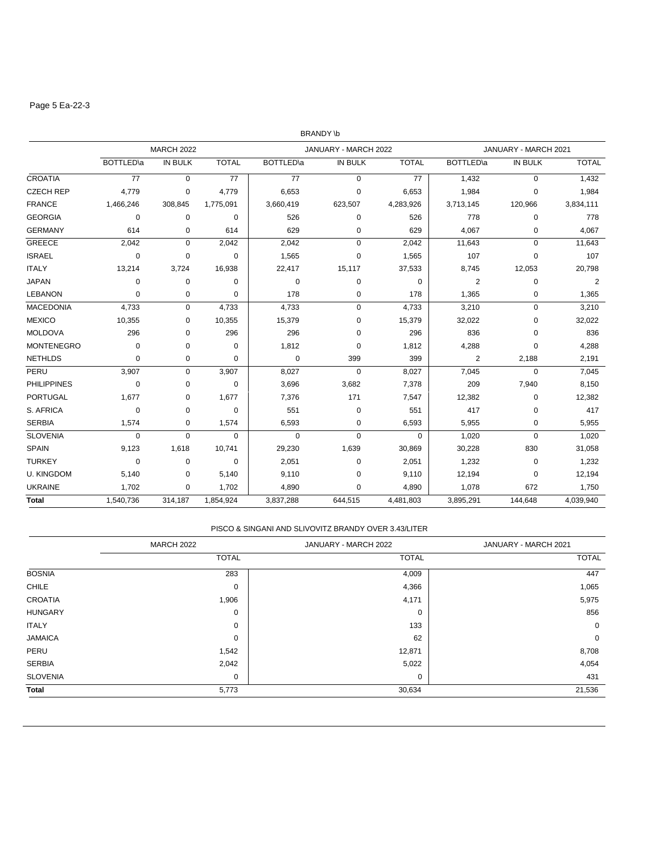### Page 5 Ea-22-3

|                    |                   |                   |              |                   | <b>BRANDY \b</b>     |              |                   |                      |                |
|--------------------|-------------------|-------------------|--------------|-------------------|----------------------|--------------|-------------------|----------------------|----------------|
|                    |                   | <b>MARCH 2022</b> |              |                   | JANUARY - MARCH 2022 |              |                   | JANUARY - MARCH 2021 |                |
|                    | <b>BOTTLED</b> \a | <b>IN BULK</b>    | <b>TOTAL</b> | <b>BOTTLED</b> \a | IN BULK              | <b>TOTAL</b> | <b>BOTTLED</b> \a | <b>IN BULK</b>       | <b>TOTAL</b>   |
| <b>CROATIA</b>     | 77                | $\mathbf 0$       | 77           | 77                | $\mathbf 0$          | 77           | 1,432             | $\mathbf 0$          | 1,432          |
| <b>CZECH REP</b>   | 4,779             | 0                 | 4,779        | 6,653             | 0                    | 6,653        | 1,984             | $\mathbf 0$          | 1,984          |
| <b>FRANCE</b>      | 1,466,246         | 308,845           | 1,775,091    | 3,660,419         | 623,507              | 4,283,926    | 3,713,145         | 120,966              | 3,834,111      |
| <b>GEORGIA</b>     | $\mathbf 0$       | 0                 | 0            | 526               | 0                    | 526          | 778               | 0                    | 778            |
| <b>GERMANY</b>     | 614               | 0                 | 614          | 629               | 0                    | 629          | 4,067             | 0                    | 4,067          |
| <b>GREECE</b>      | 2,042             | $\mathbf 0$       | 2,042        | 2,042             | $\mathbf 0$          | 2,042        | 11,643            | $\mathbf 0$          | 11,643         |
| <b>ISRAEL</b>      | $\mathbf 0$       | 0                 | 0            | 1,565             | 0                    | 1,565        | 107               | 0                    | 107            |
| <b>ITALY</b>       | 13,214            | 3,724             | 16,938       | 22,417            | 15,117               | 37,533       | 8,745             | 12,053               | 20,798         |
| <b>JAPAN</b>       | $\mathbf 0$       | $\mathbf 0$       | $\Omega$     | 0                 | $\mathbf 0$          | $\Omega$     | $\overline{2}$    | $\mathbf 0$          | $\overline{2}$ |
| <b>LEBANON</b>     | 0                 | 0                 | 0            | 178               | 0                    | 178          | 1,365             | 0                    | 1,365          |
| <b>MACEDONIA</b>   | 4,733             | $\mathbf 0$       | 4,733        | 4,733             | 0                    | 4,733        | 3,210             | $\mathsf 0$          | 3,210          |
| <b>MEXICO</b>      | 10,355            | 0                 | 10,355       | 15,379            | 0                    | 15,379       | 32,022            | 0                    | 32,022         |
| <b>MOLDOVA</b>     | 296               | 0                 | 296          | 296               | 0                    | 296          | 836               | $\mathbf 0$          | 836            |
| <b>MONTENEGRO</b>  | 0                 | 0                 | $\mathbf 0$  | 1,812             | 0                    | 1,812        | 4,288             | $\Omega$             | 4,288          |
| <b>NETHLDS</b>     | 0                 | 0                 | 0            | 0                 | 399                  | 399          | $\overline{2}$    | 2,188                | 2,191          |
| PERU               | 3,907             | $\mathbf 0$       | 3,907        | 8,027             | $\Omega$             | 8,027        | 7,045             | $\mathbf 0$          | 7,045          |
| <b>PHILIPPINES</b> | 0                 | $\mathbf 0$       | 0            | 3,696             | 3,682                | 7,378        | 209               | 7,940                | 8,150          |
| <b>PORTUGAL</b>    | 1,677             | 0                 | 1,677        | 7,376             | 171                  | 7,547        | 12,382            | 0                    | 12,382         |
| S. AFRICA          | 0                 | 0                 | 0            | 551               | 0                    | 551          | 417               | 0                    | 417            |
| <b>SERBIA</b>      | 1,574             | 0                 | 1,574        | 6,593             | $\mathbf 0$          | 6,593        | 5,955             | $\mathbf 0$          | 5,955          |
| <b>SLOVENIA</b>    | 0                 | $\mathbf 0$       | 0            | 0                 | $\mathbf 0$          | 0            | 1,020             | $\mathbf 0$          | 1,020          |
| <b>SPAIN</b>       | 9,123             | 1,618             | 10,741       | 29,230            | 1,639                | 30,869       | 30,228            | 830                  | 31,058         |
| <b>TURKEY</b>      | $\mathbf 0$       | 0                 | 0            | 2,051             | $\mathbf 0$          | 2,051        | 1,232             | 0                    | 1,232          |
| <b>U. KINGDOM</b>  | 5,140             | 0                 | 5,140        | 9,110             | 0                    | 9,110        | 12,194            | 0                    | 12,194         |
| <b>UKRAINE</b>     | 1,702             | 0                 | 1,702        | 4,890             | 0                    | 4,890        | 1,078             | 672                  | 1,750          |
| <b>Total</b>       | 1,540,736         | 314,187           | 1,854,924    | 3,837,288         | 644,515              | 4,481,803    | 3,895,291         | 144,648              | 4,039,940      |

### PISCO & SINGANI AND SLIVOVITZ BRANDY OVER 3.43/LITER

|                 | <b>MARCH 2022</b> | JANUARY - MARCH 2022 | JANUARY - MARCH 2021 |
|-----------------|-------------------|----------------------|----------------------|
|                 | <b>TOTAL</b>      | <b>TOTAL</b>         | <b>TOTAL</b>         |
| <b>BOSNIA</b>   | 283               | 4,009                | 447                  |
| <b>CHILE</b>    | $\mathbf 0$       | 4,366                | 1,065                |
| <b>CROATIA</b>  | 1,906             | 4,171                | 5,975                |
| <b>HUNGARY</b>  | $\mathbf 0$       | 0                    | 856                  |
| <b>ITALY</b>    | 0                 | 133                  | 0                    |
| <b>JAMAICA</b>  | 0                 | 62                   | $\mathbf 0$          |
| PERU            | 1,542             | 12,871               | 8,708                |
| <b>SERBIA</b>   | 2,042             | 5,022                | 4,054                |
| <b>SLOVENIA</b> | 0                 | 0                    | 431                  |
| <b>Total</b>    | 5,773             | 30,634               | 21,536               |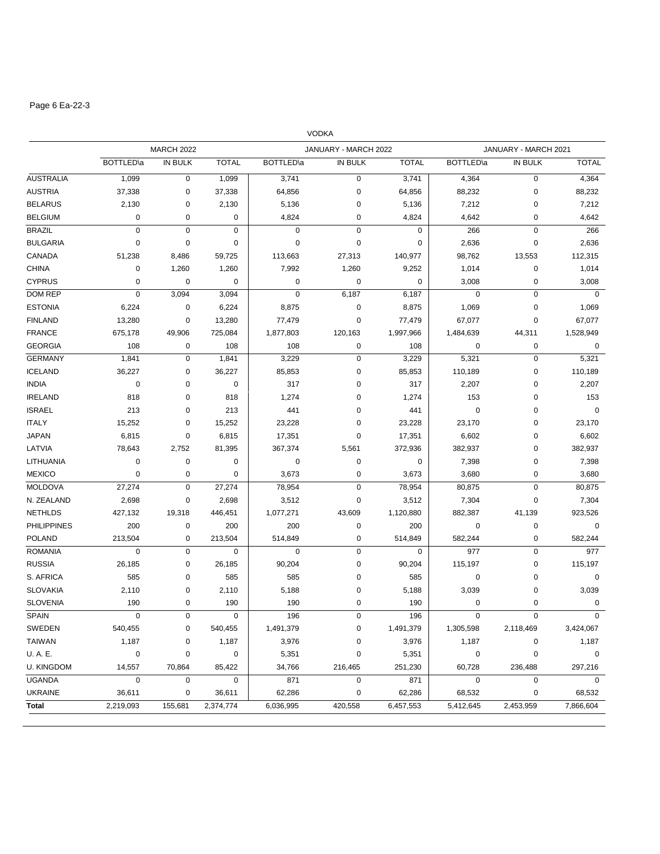# Page 6 Ea-22-3

|                    |                   |                   |              |                  | <b>VODKA</b>         |              |                   |                      |              |
|--------------------|-------------------|-------------------|--------------|------------------|----------------------|--------------|-------------------|----------------------|--------------|
|                    |                   | <b>MARCH 2022</b> |              |                  | JANUARY - MARCH 2022 |              |                   | JANUARY - MARCH 2021 |              |
|                    | <b>BOTTLED</b> \a | <b>IN BULK</b>    | <b>TOTAL</b> | <b>BOTTLED\a</b> | IN BULK              | <b>TOTAL</b> | <b>BOTTLED</b> \a | IN BULK              | <b>TOTAL</b> |
| <b>AUSTRALIA</b>   | 1,099             | 0                 | 1,099        | 3,741            | 0                    | 3,741        | 4,364             | $\mathbf 0$          | 4,364        |
| <b>AUSTRIA</b>     | 37,338            | 0                 | 37,338       | 64,856           | 0                    | 64,856       | 88,232            | $\mathbf 0$          | 88,232       |
| <b>BELARUS</b>     | 2,130             | 0                 | 2,130        | 5,136            | 0                    | 5,136        | 7,212             | $\mathbf 0$          | 7,212        |
| <b>BELGIUM</b>     | $\pmb{0}$         | 0                 | 0            | 4,824            | 0                    | 4,824        | 4,642             | 0                    | 4,642        |
| <b>BRAZIL</b>      | $\pmb{0}$         | $\mathbf 0$       | 0            | $\mathbf 0$      | $\mathbf 0$          | $\mathbf 0$  | 266               | $\pmb{0}$            | 266          |
| <b>BULGARIA</b>    | $\mathbf 0$       | 0                 | 0            | $\mathbf 0$      | 0                    | 0            | 2,636             | $\mathbf 0$          | 2,636        |
| CANADA             | 51,238            | 8,486             | 59,725       | 113,663          | 27,313               | 140,977      | 98,762            | 13,553               | 112,315      |
| <b>CHINA</b>       | $\pmb{0}$         | 1,260             | 1,260        | 7,992            | 1,260                | 9,252        | 1,014             | $\mathbf 0$          | 1,014        |
| <b>CYPRUS</b>      | $\mathbf 0$       | $\mathbf 0$       | 0            | $\mathbf 0$      | 0                    | $\mathbf 0$  | 3,008             | $\mathbf 0$          | 3,008        |
| <b>DOM REP</b>     | $\pmb{0}$         | 3,094             | 3,094        | $\mathbf 0$      | 6,187                | 6,187        | $\mathbf 0$       | $\pmb{0}$            | $\mathbf 0$  |
| <b>ESTONIA</b>     | 6,224             | 0                 | 6,224        | 8,875            | 0                    | 8,875        | 1,069             | $\mathbf 0$          | 1,069        |
| <b>FINLAND</b>     | 13,280            | 0                 | 13,280       | 77,479           | 0                    | 77,479       | 67,077            | $\mathbf 0$          | 67,077       |
| <b>FRANCE</b>      | 675,178           | 49,906            | 725,084      | 1,877,803        | 120,163              | 1,997,966    | 1,484,639         | 44,311               | 1,528,949    |
| <b>GEORGIA</b>     | 108               | 0                 | 108          | 108              | 0                    | 108          | 0                 | 0                    | 0            |
| <b>GERMANY</b>     | 1,841             | 0                 | 1,841        | 3,229            | 0                    | 3,229        | 5,321             | $\mathbf 0$          | 5,321        |
| <b>ICELAND</b>     | 36,227            | 0                 | 36,227       | 85,853           | 0                    | 85,853       | 110,189           | $\mathbf 0$          | 110,189      |
| <b>INDIA</b>       | 0                 | 0                 | 0            | 317              | 0                    | 317          | 2,207             | $\mathbf 0$          | 2,207        |
| <b>IRELAND</b>     | 818               | 0                 | 818          | 1,274            | 0                    | 1,274        | 153               | $\mathbf 0$          | 153          |
| <b>ISRAEL</b>      | 213               | 0                 | 213          | 441              | 0                    | 441          | 0                 | 0                    | 0            |
| <b>ITALY</b>       | 15,252            | 0                 | 15,252       | 23,228           | 0                    | 23,228       | 23,170            | $\mathbf 0$          | 23,170       |
| <b>JAPAN</b>       | 6,815             | 0                 | 6,815        | 17,351           | 0                    | 17,351       | 6,602             | 0                    | 6,602        |
| LATVIA             | 78,643            | 2,752             | 81,395       | 367,374          | 5,561                | 372,936      | 382,937           | 0                    | 382,937      |
| LITHUANIA          | 0                 | 0                 | $\pmb{0}$    | 0                | 0                    | 0            | 7,398             | $\mathbf 0$          | 7,398        |
| <b>MEXICO</b>      | $\pmb{0}$         | 0                 | $\mathbf 0$  | 3,673            | 0                    | 3,673        | 3,680             | $\mathbf 0$          | 3,680        |
| <b>MOLDOVA</b>     | 27,274            | 0                 | 27,274       | 78,954           | 0                    | 78,954       | 80,875            | $\mathbf 0$          | 80,875       |
| N. ZEALAND         | 2,698             | 0                 | 2,698        | 3,512            | 0                    | 3,512        | 7,304             | $\mathbf 0$          | 7,304        |
| <b>NETHLDS</b>     | 427,132           | 19,318            | 446,451      | 1,077,271        | 43,609               | 1,120,880    | 882,387           | 41,139               | 923,526      |
| <b>PHILIPPINES</b> | 200               | 0                 | 200          | 200              | 0                    | 200          | 0                 | $\mathbf 0$          | $\mathbf 0$  |
| <b>POLAND</b>      | 213,504           | 0                 | 213,504      | 514,849          | 0                    | 514,849      | 582,244           | $\mathbf 0$          | 582,244      |
| <b>ROMANIA</b>     | $\mathbf 0$       | 0                 | 0            | $\mathbf 0$      | 0                    | 0            | 977               | $\mathbf 0$          | 977          |
| <b>RUSSIA</b>      | 26,185            | 0                 | 26,185       | 90,204           | 0                    | 90,204       | 115,197           | $\mathbf 0$          | 115,197      |
| S. AFRICA          | 585               | 0                 | 585          | 585              | 0                    | 585          | 0                 | $\mathbf 0$          | 0            |
| <b>SLOVAKIA</b>    | 2,110             | 0                 | 2,110        | 5,188            | 0                    | 5,188        | 3,039             | 0                    | 3,039        |
| <b>SLOVENIA</b>    | 190               | 0                 | 190          | 190              | 0                    | 190          | 0                 | 0                    | $\mathbf 0$  |
| SPAIN              | 0                 | 0                 | 0            | 196              | 0                    | 196          | 0                 | 0                    | 0            |
| SWEDEN             | 540,455           | 0                 | 540,455      | 1,491,379        | 0                    | 1,491,379    | 1,305,598         | 2,118,469            | 3,424,067    |
| TAIWAN             | 1,187             | 0                 | 1,187        | 3,976            | 0                    | 3,976        | 1,187             | 0                    | 1,187        |
| U.A.E.             | $\mathbf 0$       | 0                 | $\mathbf 0$  | 5,351            | 0                    | 5,351        | $\pmb{0}$         | $\pmb{0}$            | $\mathbf 0$  |
| <b>U. KINGDOM</b>  | 14,557            | 70,864            | 85,422       | 34,766           | 216,465              | 251,230      | 60,728            | 236,488              | 297,216      |
| <b>UGANDA</b>      | $\pmb{0}$         | 0                 | $\mathbf 0$  | 871              | $\mathbf 0$          | 871          | $\pmb{0}$         | $\mathbf 0$          | $\mathbf 0$  |
| <b>UKRAINE</b>     | 36,611            | 0                 | 36,611       | 62,286           | 0                    | 62,286       | 68,532            | $\mathbf 0$          | 68,532       |
| Total              | 2,219,093         | 155,681           | 2,374,774    | 6,036,995        | 420,558              | 6,457,553    | 5,412,645         | 2,453,959            | 7,866,604    |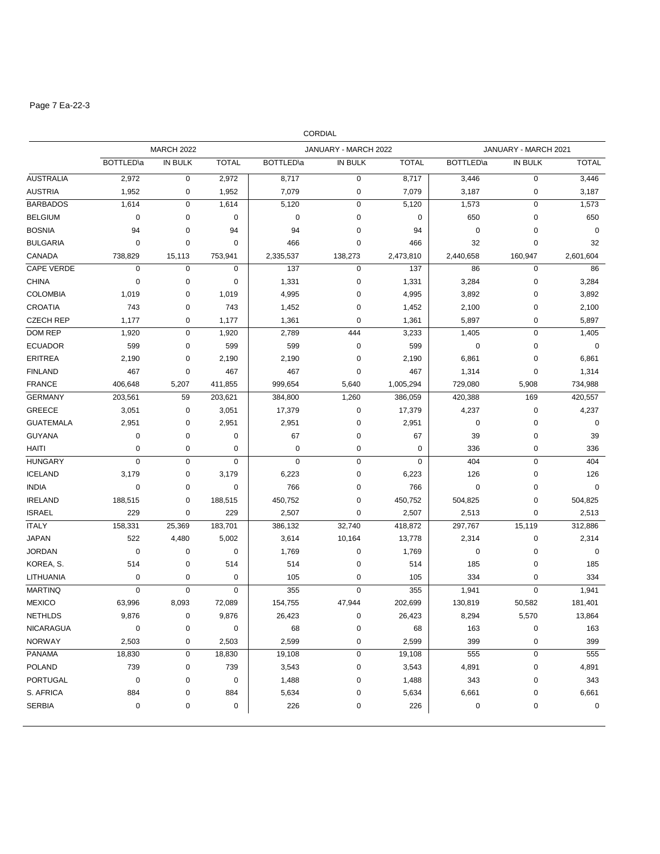# Page 7 Ea-22-3

|                   |                   |                   |              |                   | <b>CORDIAL</b>       |              |                   |                      |              |
|-------------------|-------------------|-------------------|--------------|-------------------|----------------------|--------------|-------------------|----------------------|--------------|
|                   |                   | <b>MARCH 2022</b> |              |                   | JANUARY - MARCH 2022 |              |                   | JANUARY - MARCH 2021 |              |
|                   | <b>BOTTLED</b> \a | <b>IN BULK</b>    | <b>TOTAL</b> | <b>BOTTLED</b> \a | IN BULK              | <b>TOTAL</b> | <b>BOTTLED</b> \a | IN BULK              | <b>TOTAL</b> |
| <b>AUSTRALIA</b>  | 2,972             | $\mathbf 0$       | 2,972        | 8,717             | 0                    | 8,717        | 3,446             | $\mathbf 0$          | 3,446        |
| <b>AUSTRIA</b>    | 1,952             | 0                 | 1,952        | 7,079             | 0                    | 7,079        | 3,187             | $\mathbf 0$          | 3,187        |
| <b>BARBADOS</b>   | 1,614             | $\mathbf 0$       | 1,614        | 5,120             | 0                    | 5,120        | 1,573             | $\pmb{0}$            | 1,573        |
| <b>BELGIUM</b>    | $\mathbf 0$       | $\mathbf 0$       | $\pmb{0}$    | 0                 | 0                    | 0            | 650               | $\mathbf 0$          | 650          |
| <b>BOSNIA</b>     | 94                | $\mathbf 0$       | 94           | 94                | 0                    | 94           | $\mathbf 0$       | $\mathbf 0$          | $\mathbf 0$  |
| <b>BULGARIA</b>   | $\pmb{0}$         | $\mathbf 0$       | $\mathbf 0$  | 466               | 0                    | 466          | 32                | $\mathbf 0$          | 32           |
| CANADA            | 738,829           | 15.113            | 753,941      | 2,335,537         | 138,273              | 2,473,810    | 2,440,658         | 160,947              | 2,601,604    |
| <b>CAPE VERDE</b> | $\mathbf 0$       | $\mathbf 0$       | $\mathbf 0$  | 137               | $\mathbf 0$          | 137          | 86                | $\mathbf 0$          | 86           |
| <b>CHINA</b>      | $\pmb{0}$         | $\pmb{0}$         | 0            | 1,331             | 0                    | 1,331        | 3,284             | $\mathbf 0$          | 3,284        |
| <b>COLOMBIA</b>   | 1,019             | 0                 | 1,019        | 4,995             | 0                    | 4,995        | 3,892             | $\mathbf 0$          | 3,892        |
| <b>CROATIA</b>    | 743               | 0                 | 743          | 1,452             | 0                    | 1,452        | 2,100             | $\mathbf 0$          | 2,100        |
| <b>CZECH REP</b>  | 1,177             | $\mathbf 0$       | 1,177        | 1,361             | 0                    | 1,361        | 5,897             | $\mathbf 0$          | 5,897        |
| <b>DOM REP</b>    | 1,920             | $\mathbf 0$       | 1,920        | 2,789             | 444                  | 3,233        | 1,405             | $\mathbf 0$          | 1,405        |
| <b>ECUADOR</b>    | 599               | 0                 | 599          | 599               | 0                    | 599          | 0                 | $\mathbf 0$          | 0            |
| <b>ERITREA</b>    | 2,190             | $\mathbf 0$       | 2,190        | 2,190             | 0                    | 2,190        | 6,861             | $\mathbf 0$          | 6,861        |
| <b>FINLAND</b>    | 467               | 0                 | 467          | 467               | 0                    | 467          | 1,314             | 0                    | 1,314        |
| <b>FRANCE</b>     | 406,648           | 5,207             | 411,855      | 999,654           | 5,640                | 1,005,294    | 729,080           | 5,908                | 734,988      |
| <b>GERMANY</b>    | 203,561           | 59                | 203,621      | 384,800           | 1,260                | 386,059      | 420,388           | 169                  | 420,557      |
| <b>GREECE</b>     | 3,051             | $\pmb{0}$         | 3,051        | 17,379            | 0                    | 17,379       | 4,237             | $\mathbf 0$          | 4,237        |
| <b>GUATEMALA</b>  | 2,951             | $\pmb{0}$         | 2,951        | 2,951             | 0                    | 2,951        | 0                 | $\mathbf 0$          | $\mathbf 0$  |
| <b>GUYANA</b>     | 0                 | $\mathbf 0$       | $\pmb{0}$    | 67                | 0                    | 67           | 39                | $\mathbf 0$          | 39           |
| <b>HAITI</b>      | $\pmb{0}$         | $\mathbf 0$       | $\pmb{0}$    | 0                 | 0                    | $\mathbf 0$  | 336               | $\mathbf 0$          | 336          |
| <b>HUNGARY</b>    | $\pmb{0}$         | $\pmb{0}$         | $\pmb{0}$    | $\mathbf 0$       | 0                    | 0            | 404               | $\mathbf 0$          | 404          |
| <b>ICELAND</b>    | 3,179             | $\mathbf 0$       | 3,179        | 6,223             | 0                    | 6,223        | 126               | $\mathbf 0$          | 126          |
| <b>INDIA</b>      | 0                 | $\mathbf 0$       | $\pmb{0}$    | 766               | 0                    | 766          | $\mathbf 0$       | $\mathbf 0$          | $\mathbf 0$  |
| <b>IRELAND</b>    | 188,515           | $\mathbf 0$       | 188,515      | 450,752           | 0                    | 450,752      | 504,825           | $\mathbf 0$          | 504,825      |
| <b>ISRAEL</b>     | 229               | $\mathbf 0$       | 229          | 2,507             | 0                    | 2,507        | 2,513             | $\mathbf 0$          | 2,513        |
| <b>ITALY</b>      | 158,331           | 25,369            | 183,701      | 386,132           | 32,740               | 418,872      | 297,767           | 15,119               | 312,886      |
| <b>JAPAN</b>      | 522               | 4,480             | 5,002        | 3,614             | 10,164               | 13,778       | 2,314             | $\mathbf 0$          | 2,314        |
| <b>JORDAN</b>     | 0                 | 0                 | 0            | 1,769             | 0                    | 1,769        | 0                 | $\mathbf 0$          | 0            |
| KOREA, S.         | 514               | 0                 | 514          | 514               | 0                    | 514          | 185               | $\mathbf 0$          | 185          |
| LITHUANIA         | 0                 | 0                 | 0            | 105               | 0                    | 105          | 334               | 0                    | 334          |
| <b>MARTINQ</b>    | 0                 | $\mathbf 0$       | $\pmb{0}$    | 355               | 0                    | 355          | 1,941             | $\mathbf 0$          | 1,941        |
| <b>MEXICO</b>     | 63,996            | 8,093             | 72,089       | 154,755           | 47,944               | 202,699      | 130,819           | 50,582               | 181,401      |
| <b>NETHLDS</b>    | 9,876             | $\pmb{0}$         | 9,876        | 26,423            | 0                    | 26,423       | 8,294             | 5,570                | 13,864       |
| <b>NICARAGUA</b>  | $\pmb{0}$         | $\pmb{0}$         | 0            | 68                | 0                    | 68           | 163               | 0                    | 163          |
| <b>NORWAY</b>     | 2,503             | $\pmb{0}$         | 2,503        | 2,599             | 0                    | 2,599        | 399               | 0                    | 399          |
| <b>PANAMA</b>     | 18,830            | $\pmb{0}$         | 18,830       | 19,108            | 0                    | 19,108       | 555               | $\pmb{0}$            | 555          |
| <b>POLAND</b>     | 739               | $\pmb{0}$         | 739          | 3,543             | 0                    | 3,543        | 4,891             | $\pmb{0}$            | 4,891        |
| <b>PORTUGAL</b>   | $\pmb{0}$         | 0                 | $\pmb{0}$    | 1,488             | 0                    | 1,488        | 343               | $\pmb{0}$            | 343          |
| S. AFRICA         | 884               | $\pmb{0}$         | 884          | 5,634             | 0                    | 5,634        | 6,661             | $\pmb{0}$            | 6,661        |
| <b>SERBIA</b>     | $\pmb{0}$         | $\pmb{0}$         | 0            | 226               | 0                    | 226          | $\pmb{0}$         | 0                    | 0            |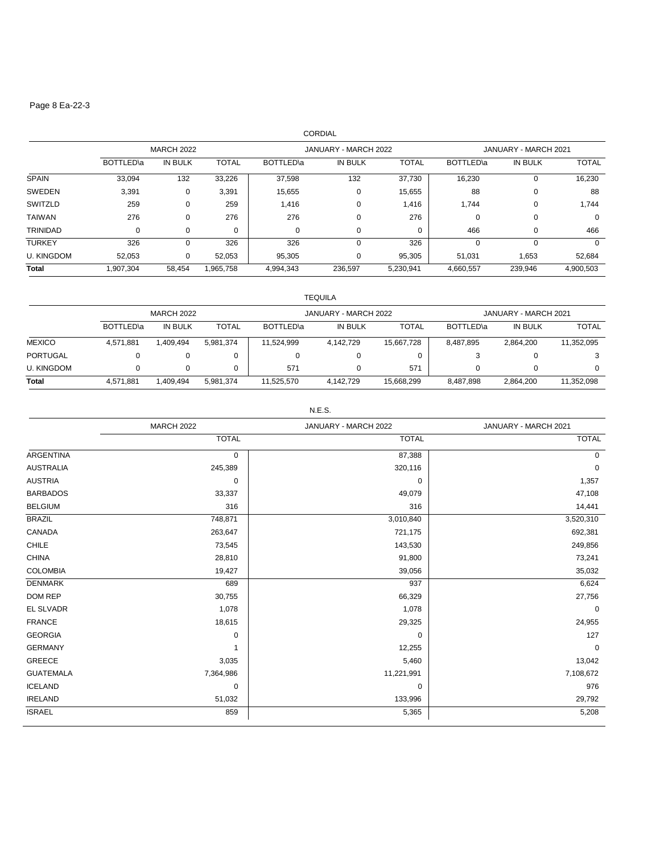### Page 8 Ea-22-3

| <b>CORDIAL</b>    |                   |          |              |                             |          |              |                             |          |              |
|-------------------|-------------------|----------|--------------|-----------------------------|----------|--------------|-----------------------------|----------|--------------|
|                   | <b>MARCH 2022</b> |          |              | JANUARY - MARCH 2022        |          |              | JANUARY - MARCH 2021        |          |              |
|                   | BOTTLED\a         | IN BULK  | <b>TOTAL</b> | <b>BOTTLED</b> <sup>a</sup> | IN BULK  | <b>TOTAL</b> | <b>BOTTLED</b> <sup>a</sup> | IN BULK  | <b>TOTAL</b> |
| <b>SPAIN</b>      | 33,094            | 132      | 33,226       | 37,598                      | 132      | 37,730       | 16,230                      | 0        | 16,230       |
| <b>SWEDEN</b>     | 3,391             | 0        | 3,391        | 15,655                      | 0        | 15,655       | 88                          | 0        | 88           |
| SWITZLD           | 259               | 0        | 259          | 1,416                       | 0        | 1,416        | 1,744                       | 0        | 1,744        |
| <b>TAIWAN</b>     | 276               | 0        | 276          | 276                         | $\Omega$ | 276          | 0                           | 0        | 0            |
| <b>TRINIDAD</b>   | 0                 | 0        | 0            | 0                           | 0        | 0            | 466                         | 0        | 466          |
| <b>TURKEY</b>     | 326               | $\Omega$ | 326          | 326                         | $\Omega$ | 326          | 0                           | $\Omega$ | $\Omega$     |
| <b>U. KINGDOM</b> | 52,053            | 0        | 52,053       | 95,305                      | 0        | 95,305       | 51,031                      | 1,653    | 52,684       |
| <b>Total</b>      | 1,907,304         | 58,454   | 1,965,758    | 4,994,343                   | 236,597  | 5,230,941    | 4,660,557                   | 239,946  | 4,900,503    |

|                   | TEQUILA           |                |           |                      |           |              |                      |                |              |
|-------------------|-------------------|----------------|-----------|----------------------|-----------|--------------|----------------------|----------------|--------------|
|                   | <b>MARCH 2022</b> |                |           | JANUARY - MARCH 2022 |           |              | JANUARY - MARCH 2021 |                |              |
|                   | BOTTLED\a         | <b>IN BULK</b> | TOTAL     | BOTTLED\a            | IN BULK   | <b>TOTAL</b> | BOTTLED\a            | <b>IN BULK</b> | <b>TOTAL</b> |
| <b>MEXICO</b>     | 4,571,881         | 1,409,494      | 5,981,374 | 11,524,999           | 4,142,729 | 15,667,728   | 8,487,895            | 2,864,200      | 11,352,095   |
| <b>PORTUGAL</b>   | 0                 | 0              |           |                      | 0         |              |                      | 0              |              |
| <b>U. KINGDOM</b> | 0                 | 0              |           | 571                  | 0         | 571          |                      |                |              |
| <b>Total</b>      | 4,571,881         | 1,409,494      | 5.981.374 | 11,525,570           | 4,142,729 | 15,668,299   | 8,487,898            | 2,864,200      | 11,352,098   |

N.E.S.

|                  | <b>MARCH 2022</b> | JANUARY - MARCH 2022 | JANUARY - MARCH 2021 |  |
|------------------|-------------------|----------------------|----------------------|--|
|                  | <b>TOTAL</b>      | <b>TOTAL</b>         | <b>TOTAL</b>         |  |
| <b>ARGENTINA</b> | 0                 | 87,388               | 0                    |  |
| <b>AUSTRALIA</b> | 245,389           | 320,116              | $\mathbf 0$          |  |
| <b>AUSTRIA</b>   | 0                 | 0                    | 1,357                |  |
| <b>BARBADOS</b>  | 33,337            | 49,079               | 47,108               |  |
| <b>BELGIUM</b>   | 316               | 316                  | 14,441               |  |
| <b>BRAZIL</b>    | 748,871           | 3,010,840            | 3,520,310            |  |
| CANADA           | 263,647           | 721,175              | 692,381              |  |
| <b>CHILE</b>     | 73,545            | 143,530              | 249,856              |  |
| <b>CHINA</b>     | 28,810            | 91,800               | 73,241               |  |
| <b>COLOMBIA</b>  | 19,427            | 39,056               | 35,032               |  |
| <b>DENMARK</b>   | 689               | 937                  | 6,624                |  |
| DOM REP          | 30,755            | 66,329               | 27,756               |  |
| <b>EL SLVADR</b> | 1,078             | 1,078                | 0                    |  |
| <b>FRANCE</b>    | 18,615            | 29,325               | 24,955               |  |
| <b>GEORGIA</b>   | $\mathbf 0$       | 0                    | 127                  |  |
| <b>GERMANY</b>   | $\mathbf{1}$      | 12,255               | $\mathbf 0$          |  |
| GREECE           | 3,035             | 5,460                | 13,042               |  |
| <b>GUATEMALA</b> | 7,364,986         | 11,221,991           | 7,108,672            |  |
| <b>ICELAND</b>   | 0                 | 0                    | 976                  |  |
| <b>IRELAND</b>   | 51,032            | 133,996              | 29,792               |  |
| <b>ISRAEL</b>    | 859               | 5,365                | 5,208                |  |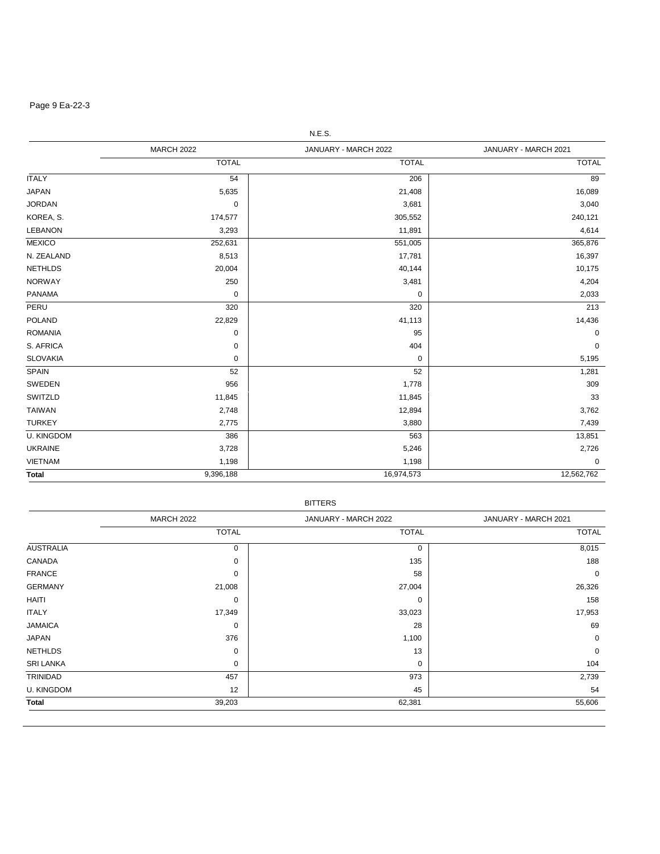# Page 9 Ea-22-3

|                   | <b>MARCH 2022</b> | JANUARY - MARCH 2022 | JANUARY - MARCH 2021 |  |
|-------------------|-------------------|----------------------|----------------------|--|
|                   | <b>TOTAL</b>      | <b>TOTAL</b>         | <b>TOTAL</b>         |  |
| <b>ITALY</b>      | 54                | 206                  | 89                   |  |
| <b>JAPAN</b>      | 5,635             | 21,408               | 16,089               |  |
| <b>JORDAN</b>     | 0                 | 3,681                | 3,040                |  |
| KOREA, S.         | 174,577           | 305,552              | 240,121              |  |
| <b>LEBANON</b>    | 3,293             | 11,891               | 4,614                |  |
| <b>MEXICO</b>     | 252,631           | 551,005              | 365,876              |  |
| N. ZEALAND        | 8,513             | 17,781               | 16,397               |  |
| <b>NETHLDS</b>    | 20,004            | 40,144               | 10,175               |  |
| <b>NORWAY</b>     | 250               | 3,481                | 4,204                |  |
| <b>PANAMA</b>     | $\pmb{0}$         | 0                    | 2,033                |  |
| PERU              | 320               | 320                  | 213                  |  |
| <b>POLAND</b>     | 22,829            | 41,113               | 14,436               |  |
| <b>ROMANIA</b>    | 0                 | 95                   | 0                    |  |
| S. AFRICA         | 0                 | 404                  | 0                    |  |
| <b>SLOVAKIA</b>   | 0                 | 0                    | 5,195                |  |
| <b>SPAIN</b>      | 52                | 52                   | 1,281                |  |
| SWEDEN            | 956               | 1,778                | 309                  |  |
| SWITZLD           | 11,845            | 11,845               | 33                   |  |
| <b>TAIWAN</b>     | 2,748             | 12,894               | 3,762                |  |
| <b>TURKEY</b>     | 2,775             | 3,880                | 7,439                |  |
| <b>U. KINGDOM</b> | 386               | 563                  | 13,851               |  |
| <b>UKRAINE</b>    | 3,728             | 5,246                | 2,726                |  |
| <b>VIETNAM</b>    | 1,198             | 1,198                | 0                    |  |
| <b>Total</b>      | 9,396,188         | 16,974,573           | 12,562,762           |  |

|                   | <b>MARCH 2022</b> | JANUARY - MARCH 2022 | JANUARY - MARCH 2021 |  |
|-------------------|-------------------|----------------------|----------------------|--|
|                   | <b>TOTAL</b>      | <b>TOTAL</b>         | <b>TOTAL</b>         |  |
| <b>AUSTRALIA</b>  | 0                 | $\mathbf 0$          | 8,015                |  |
| CANADA            | 0                 | 135                  | 188                  |  |
| <b>FRANCE</b>     | 0                 | 58                   | 0                    |  |
| <b>GERMANY</b>    | 21,008            | 27,004               | 26,326               |  |
| HAITI             | 0                 | 0                    | 158                  |  |
| <b>ITALY</b>      | 17,349            | 33,023               | 17,953               |  |
| <b>JAMAICA</b>    | 0                 | 28                   | 69                   |  |
| <b>JAPAN</b>      | 376               | 1,100                | 0                    |  |
| <b>NETHLDS</b>    | 0                 | 13                   | 0                    |  |
| <b>SRI LANKA</b>  | 0                 | $\mathbf 0$          | 104                  |  |
| TRINIDAD          | 457               | 973                  | 2,739                |  |
| <b>U. KINGDOM</b> | 12                | 45                   | 54                   |  |
| Total             | 39,203            | 62,381               | 55,606               |  |

N.E.S.